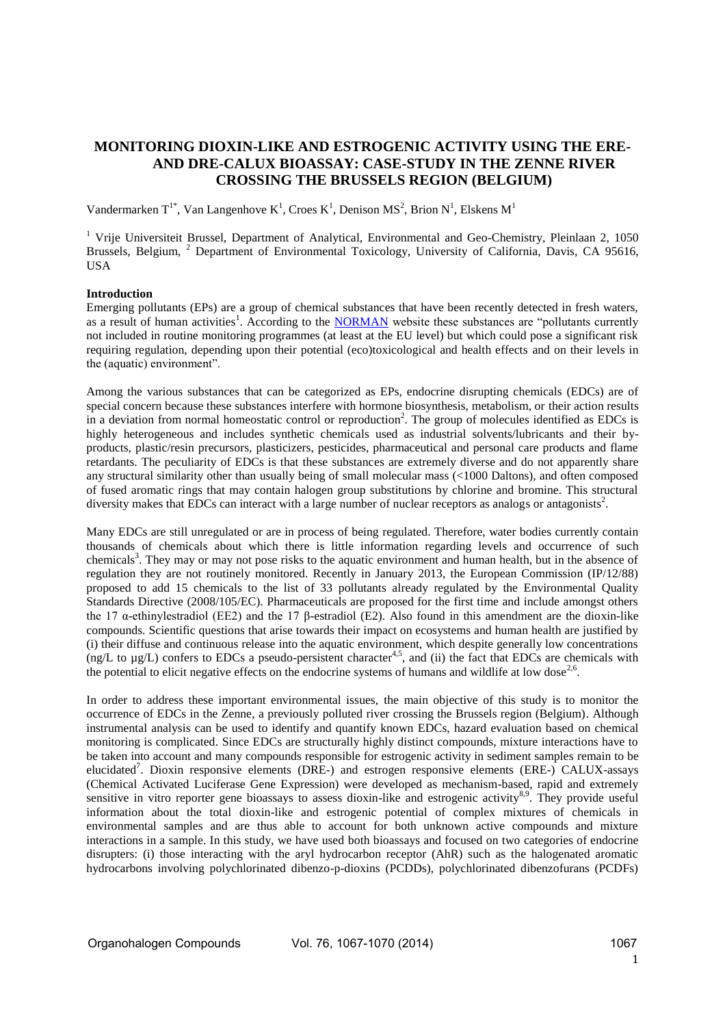# **MONITORING DIOXIN-LIKE AND ESTROGENIC ACTIVITY USING THE ERE-AND DRE-CALUX BIOASSAY: CASE-STUDY IN THE ZENNE RIVER CROSSING THE BRUSSELS REGION (BELGIUM)**

Vandermarken  $T^{1*}$ , Van Langenhove  $K^1$ , Croes  $K^1$ , Denison MS<sup>2</sup>, Brion N<sup>1</sup>, Elskens M<sup>1</sup>

<sup>1</sup> Vrije Universiteit Brussel, Department of Analytical, Environmental and Geo-Chemistry, Pleinlaan 2, 1050 Brussels, Belgium, <sup>2</sup> Department of Environmental Toxicology, University of California, Davis, CA 95616, USA

## **Introduction**

Emerging pollutants (EPs) are a group of chemical substances that have been recently detected in fresh waters, as a result of human activities<sup>1</sup>. According to the **NORMAN** website these substances are "pollutants currently not included in routine monitoring programmes (at least at the EU level) but which could pose a significant risk requiring regulation, depending upon their potential (eco)toxicological and health effects and on their levels in the (aquatic) environment".

Among the various substances that can be categorized as EPs, endocrine disrupting chemicals (EDCs) are of special concern because these substances interfere with hormone biosynthesis, metabolism, or their action results in a deviation from normal homeostatic control or reproduction<sup>2</sup>. The group of molecules identified as EDCs is highly heterogeneous and includes synthetic chemicals used as industrial solvents/lubricants and their byproducts, plastic/resin precursors, plasticizers, pesticides, pharmaceutical and personal care products and flame retardants. The peculiarity of EDCs is that these substances are extremely diverse and do not apparently share any structural similarity other than usually being of small molecular mass (<1000 Daltons), and often composed of fused aromatic rings that may contain halogen group substitutions by chlorine and bromine. This structural diversity makes that EDCs can interact with a large number of nuclear receptors as analogs or antagonists<sup>2</sup>.

Many EDCs are still unregulated or are in process of being regulated. Therefore, water bodies currently contain thousands of chemicals about which there is little information regarding levels and occurrence of such chemicals<sup>3</sup>. They may or may not pose risks to the aquatic environment and human health, but in the absence of regulation they are not routinely monitored. Recently in January 2013, the European Commission (IP/12/88) proposed to add 15 chemicals to the list of 33 pollutants already regulated by the Environmental Quality Standards Directive (2008/105/EC). Pharmaceuticals are proposed for the first time and include amongst others the 17 α-ethinylestradiol (EE2) and the 17 β-estradiol (E2). Also found in this amendment are the dioxin-like compounds. Scientific questions that arise towards their impact on ecosystems and human health are justified by (i) their diffuse and continuous release into the aquatic environment, which despite generally low concentrations (ng/L to  $\mu$ g/L) confers to EDCs a pseudo-persistent character<sup>4,5</sup>, and (ii) the fact that EDCs are chemicals with the potential to elicit negative effects on the endocrine systems of humans and wildlife at low dose<sup>2,6</sup>.

In order to address these important environmental issues, the main objective of this study is to monitor the occurrence of EDCs in the Zenne, a previously polluted river crossing the Brussels region (Belgium). Although instrumental analysis can be used to identify and quantify known EDCs, hazard evaluation based on chemical monitoring is complicated. Since EDCs are structurally highly distinct compounds, mixture interactions have to be taken into account and many compounds responsible for estrogenic activity in sediment samples remain to be elucidated<sup>7</sup>. Dioxin responsive elements (DRE-) and estrogen responsive elements (ERE-) CALUX-assays (Chemical Activated Luciferase Gene Expression) were developed as mechanism-based, rapid and extremely sensitive in vitro reporter gene bioassays to assess dioxin-like and estrogenic activity<sup>8,9</sup>. They provide useful information about the total dioxin-like and estrogenic potential of complex mixtures of chemicals in environmental samples and are thus able to account for both unknown active compounds and mixture interactions in a sample. In this study, we have used both bioassays and focused on two categories of endocrine disrupters: (i) those interacting with the aryl hydrocarbon receptor (AhR) such as the halogenated aromatic hydrocarbons involving polychlorinated dibenzo-p-dioxins (PCDDs), polychlorinated dibenzofurans (PCDFs)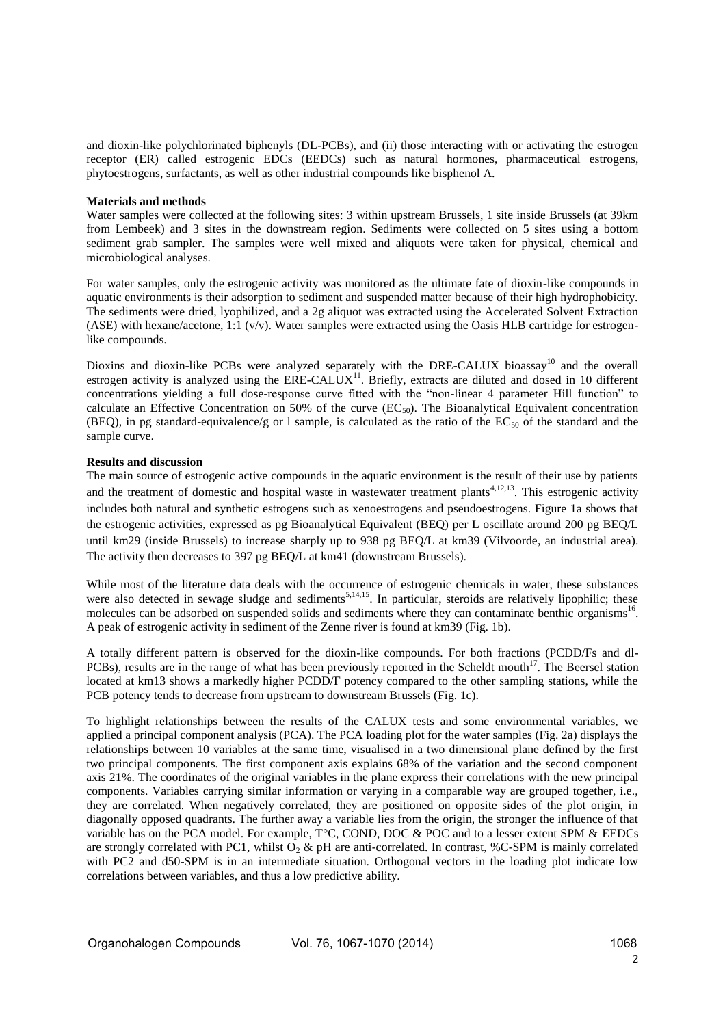and dioxin-like polychlorinated biphenyls (DL-PCBs), and (ii) those interacting with or activating the estrogen receptor (ER) called estrogenic EDCs (EEDCs) such as natural hormones, pharmaceutical estrogens, phytoestrogens, surfactants, as well as other industrial compounds like bisphenol A.

### **Materials and methods**

Water samples were collected at the following sites: 3 within upstream Brussels, 1 site inside Brussels (at 39km from Lembeek) and 3 sites in the downstream region. Sediments were collected on 5 sites using a bottom sediment grab sampler. The samples were well mixed and aliquots were taken for physical, chemical and microbiological analyses.

For water samples, only the estrogenic activity was monitored as the ultimate fate of dioxin-like compounds in aquatic environments is their adsorption to sediment and suspended matter because of their high hydrophobicity. The sediments were dried, lyophilized, and a 2g aliquot was extracted using the Accelerated Solvent Extraction (ASE) with hexane/acetone, 1:1 (v/v). Water samples were extracted using the Oasis HLB cartridge for estrogenlike compounds.

Dioxins and dioxin-like PCBs were analyzed separately with the DRE-CALUX bioassay<sup>10</sup> and the overall estrogen activity is analyzed using the  $ERE-CALUX<sup>11</sup>$ . Briefly, extracts are diluted and dosed in 10 different concentrations yielding a full dose-response curve fitted with the "non-linear 4 parameter Hill function" to calculate an Effective Concentration on 50% of the curve  $(EC_{50})$ . The Bioanalytical Equivalent concentration (BEQ), in pg standard-equivalence/g or 1 sample, is calculated as the ratio of the  $EC_{50}$  of the standard and the sample curve.

## **Results and discussion**

The main source of estrogenic active compounds in the aquatic environment is the result of their use by patients and the treatment of domestic and hospital waste in wastewater treatment plants<sup>4,12,13</sup>. This estrogenic activity includes both natural and synthetic estrogens such as xenoestrogens and pseudoestrogens. Figure 1a shows that the estrogenic activities, expressed as pg Bioanalytical Equivalent (BEQ) per L oscillate around 200 pg BEQ/L until km29 (inside Brussels) to increase sharply up to 938 pg BEQ/L at km39 (Vilvoorde, an industrial area). The activity then decreases to 397 pg BEQ/L at km41 (downstream Brussels).

While most of the literature data deals with the occurrence of estrogenic chemicals in water, these substances were also detected in sewage sludge and sediments<sup>5,14,15</sup>. In particular, steroids are relatively lipophilic; these molecules can be adsorbed on suspended solids and sediments where they can contaminate benthic organisms<sup>16</sup>. A peak of estrogenic activity in sediment of the Zenne river is found at km39 (Fig. 1b).

A totally different pattern is observed for the dioxin-like compounds. For both fractions (PCDD/Fs and dl-PCBs), results are in the range of what has been previously reported in the Scheldt mouth<sup>17</sup>. The Beersel station located at km13 shows a markedly higher PCDD/F potency compared to the other sampling stations, while the PCB potency tends to decrease from upstream to downstream Brussels (Fig. 1c).

To highlight relationships between the results of the CALUX tests and some environmental variables, we applied a principal component analysis (PCA). The PCA loading plot for the water samples (Fig. 2a) displays the relationships between 10 variables at the same time, visualised in a two dimensional plane defined by the first two principal components. The first component axis explains 68% of the variation and the second component axis 21%. The coordinates of the original variables in the plane express their correlations with the new principal components. Variables carrying similar information or varying in a comparable way are grouped together, i.e., they are correlated. When negatively correlated, they are positioned on opposite sides of the plot origin, in diagonally opposed quadrants. The further away a variable lies from the origin, the stronger the influence of that variable has on the PCA model. For example, T°C, COND, DOC & POC and to a lesser extent SPM & EEDCs are strongly correlated with PC1, whilst  $O_2$  & pH are anti-correlated. In contrast, %C-SPM is mainly correlated with PC2 and d50-SPM is in an intermediate situation. Orthogonal vectors in the loading plot indicate low correlations between variables, and thus a low predictive ability.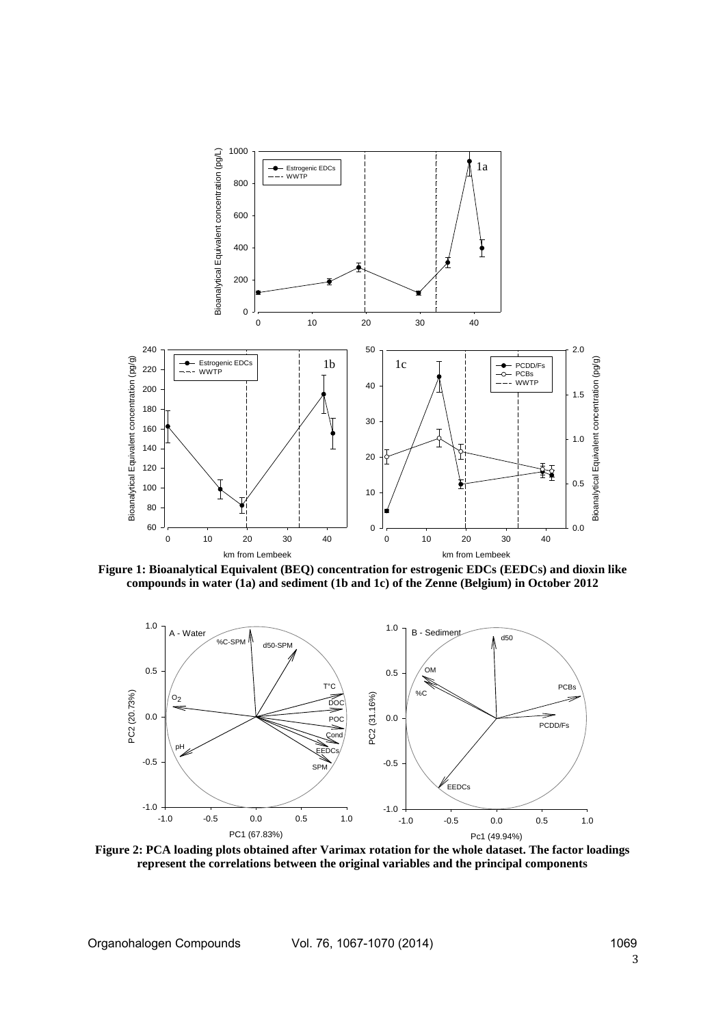

**Figure 1: Bioanalytical Equivalent (BEQ) concentration for estrogenic EDCs (EEDCs) and dioxin like compounds in water (1a) and sediment (1b and 1c) of the Zenne (Belgium) in October 2012**



**Figure 2: PCA loading plots obtained after Varimax rotation for the whole dataset. The factor loadings represent the correlations between the original variables and the principal components**